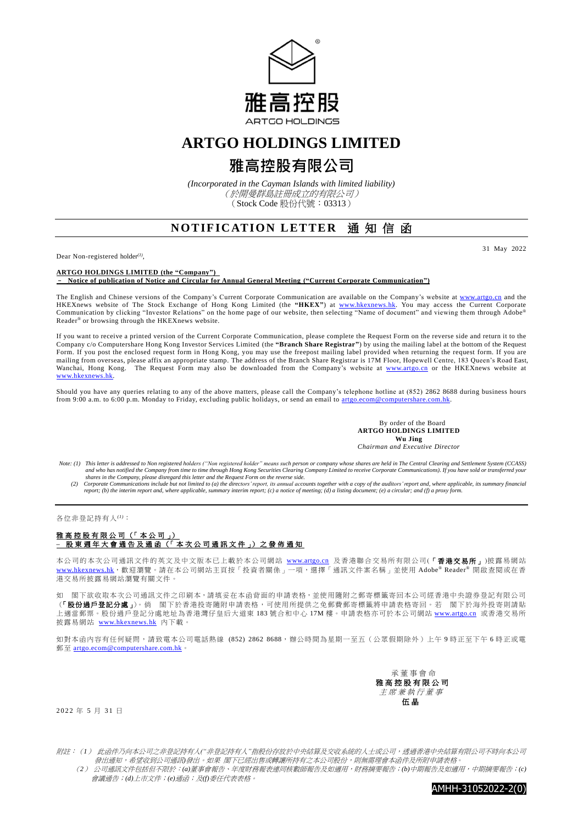

## **ARTGO HOLDINGS LIMITED**

# **雅高控股有限公司**

*(Incorporated in the Cayman Islands with limited liability)* (於開曼群島註冊成立的有限公司) (Stock Code 股份代號:03313)

### **NOTIFICATION LETTER 涌知信函**

Dear Non-registered holder*(1)* ,

31 May 2022

**ARTGO HOLDINGS LIMITED (the "Company")**

– **Notice of publication of Notice and Circular for Annual General Meeting ("Current Corporate Communication")**

The English and Chinese versions of the Company's Current Corporate Communication are available on the Company's website at [www.artgo.cn](http://www.artgo.cn/) and the HKEXnews website of The Stock Exchange of Hong Kong Limited (the **"HKEX"**) at [www.hkexnews.hk.](http://www.hkexnews.hk/) You may access the Current Corporate Communication by clicking "Investor Relations" on the home page of our website, then selecting "Name of document" and viewing them through Adobe® Reader® or browsing through the HKEXnews website.

If you want to receive a printed version of the Current Corporate Communication, please complete the Request Form on the reverse side and return it to the Company c/o Computershare Hong Kong Investor Services Limited (the **"Branch Share Registrar"**) by using the mailing label at the bottom of the Request Form. If you post the enclosed request form in Hong Kong, you may use the freepost mailing label provided when returning the request form. If you are mailing from overseas, please affix an appropriate stamp. The address of the Branch Share Registrar is 17M Floor, Hopewell Centre, 183 Queen's Road East, Wanchai, Hong Kong. The Request Form may also be downloaded from the Company's website at [www.artgo.cn](http://www.artgo.cn/) or the HKEXnews website at [www.hkexnews.hk.](http://www.hkexnews.hk/)

Should you have any queries relating to any of the above matters, please call the Company's telephone hotline at (852) 2862 8688 during business hours from 9:00 a.m. to 6:00 p.m. Monday to Friday, excluding public holidays, or send an email to artgo.ecom@computershare.com.hk

> By order of the Board **ARTGO HOLDINGS LIMITED Wu Jing** *Chairman and Executive Director*

- Note: (1) This letter is addressed to Non registered holders ("Non registered holder" means such person or company whose shares are held in The Central Clearing and Settlement System (CCASS)<br>and who has notified the Compan
	- shares in the Company, please disregard this letter and the Request Form on the reverse side.<br>(2) Corporate Communications include but not limited to (a) the directors' report, its annual accounts together with a copy of t *report; (b) the interim report and, where applicable, summary interim report; (c) a notice of meeting; (d) a listing document; (e) a circular; and (f) a proxy form.*

#### 各位非登記持有人*(1)*:

### 雅高控股有限公司 (「本公司」) **–** 股 東 週 年 大 會 通 告 及 通 函 (「 本 次 公 司 通 訊 文 件 」) 之 發 佈 通 知

本公司的本次公司通訊文件的英文及中文版本已上載於本公司網站 [www.artgo.cn](http://www.artgo.cn/) 及香港聯合交易所有限公司(「香港交易所」)披露易網站 [www.hkexnews.hk](https://www.hkexnews.hk/index_c.htm), 歡迎瀏覽。請在本公司網站主頁按「投資者關係」一項,選擇「通訊文件案名稱」並使用 Adobe® Reader® 開啟查閱或在香 港交易所披露易網站瀏覽有關文件。

如 閣下欲收取本次公司通訊文件之印刷本,請填妥在本函背面的申請表格,並使用隨附之郵寄標籤寄回本公司經香港中央證券登記有限公司 (「股份過戶登記分處」)。倘 閣下於香港投寄隨附申請表格,可使用所提供之免郵費郵寄標籤將申請表格寄回。若 閣下於海外投寄則請貼 上適當郵票。股份過戶登記分處地址為香港灣仔皇后大道東 183 號合和中心 17M 樓。申請表格亦可於本公司網站 [www.artgo.cn](http://www.artgo.cn/) 或香港交易所 披露易網站 [www.hkexnews.hk](https://www.hkexnews.hk/index_c.htm) 內下載。

如對本函內容有任何疑問,請致電本公司電話熱線 (852) 2862 8688,辦公時間為星期一至五 (公眾假期除外)上午 9 時正至下午 6 時正或電 郵至 [artgo.ecom@computershare.com.hk](mailto:artgo.ecom@computershare.com.hk)

> 承 董事會命 雅 高 控 股 有 限 公 司 主席兼執行董事 伍 晶

#### 2022 年 5 月 31 日

附註:(*1*) 此函件乃向本公司之非登記持有人*("*非登記持有人*"*指股份存放於中央結算及交收系統的人士或公司,透過香港中央結算有限公司不時向本公司 發出通知,希望收到公司通訊**發出。如果 閣下已經出售或轉讓所持有之本公司股份,則無需理會本函件及所附申請表格** 

 (*2*) 公司通訊文件包括但不限於:*(a)*董事會報告、年度財務報表連同核數師報告及如適用,財務摘要報告;*(b)*中期報告及如適用,中期摘要報告;*(c)* 會議通告;*(d)*上市文件;*(e)*通函;及*(f)*委任代表表格。